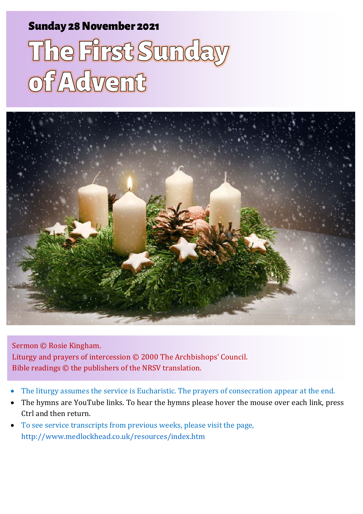#### Sunday 28 November 2021 1 Adventured Sunday 28 November 2021

# The First Sunday<br>of Advent



Sermon © Rosie Kingham. Liturgy and prayers of intercession © 2000 The Archbishops' Council. Bible readings © the publishers of the NRSV translation.

- The liturgy assumes the service is Eucharistic. The prayers of consecration appear at the end.
- The hymns are YouTube links. To hear the hymns please hover the mouse over each link, press Ctrl and then return.
- To see service transcripts from previous weeks, please visit the page, <http://www.medlockhead.co.uk/resources/index.htm>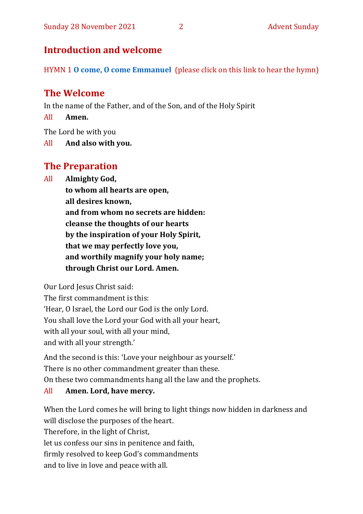#### **Introduction and welcome**

HYMN 1 **[O come, O come Emmanuel](https://www.youtube.com/watch?v=DPHh3nMMu-I)** (please click on this link to hear the hymn)

#### **The Welcome**

In the name of the Father, and of the Son, and of the Holy Spirit

All **Amen.**

The Lord be with you

All **And also with you.**

#### **The Preparation**

All **Almighty God,**

**to whom all hearts are open, all desires known, and from whom no secrets are hidden: cleanse the thoughts of our hearts by the inspiration of your Holy Spirit, that we may perfectly love you, and worthily magnify your holy name; through Christ our Lord. Amen.**

Our Lord Jesus Christ said:

The first commandment is this: 'Hear, O Israel, the Lord our God is the only Lord. You shall love the Lord your God with all your heart, with all your soul, with all your mind, and with all your strength.'

And the second is this: 'Love your neighbour as yourself.' There is no other commandment greater than these. On these two commandments hang all the law and the prophets.

#### All **Amen. Lord, have mercy.**

When the Lord comes he will bring to light things now hidden in darkness and will disclose the purposes of the heart. Therefore, in the light of Christ, let us confess our sins in penitence and faith, firmly resolved to keep God's commandments and to live in love and peace with all.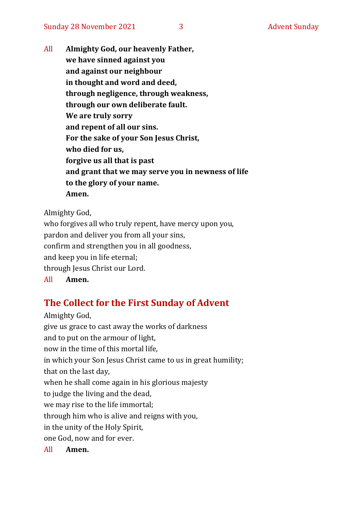All **Almighty God, our heavenly Father, we have sinned against you and against our neighbour in thought and word and deed, through negligence, through weakness, through our own deliberate fault. We are truly sorry and repent of all our sins. For the sake of your Son Jesus Christ, who died for us, forgive us all that is past and grant that we may serve you in newness of life to the glory of your name. Amen.**

Almighty God,

who forgives all who truly repent, have mercy upon you, pardon and deliver you from all your sins, confirm and strengthen you in all goodness, and keep you in life eternal; through Jesus Christ our Lord. All **Amen.**

#### **The Collect for the First Sunday of Advent**

Almighty God, give us grace to cast away the works of darkness and to put on the armour of light, now in the time of this mortal life, in which your Son Jesus Christ came to us in great humility; that on the last day, when he shall come again in his glorious majesty to judge the living and the dead, we may rise to the life immortal; through him who is alive and reigns with you, in the unity of the Holy Spirit, one God, now and for ever. All **Amen.**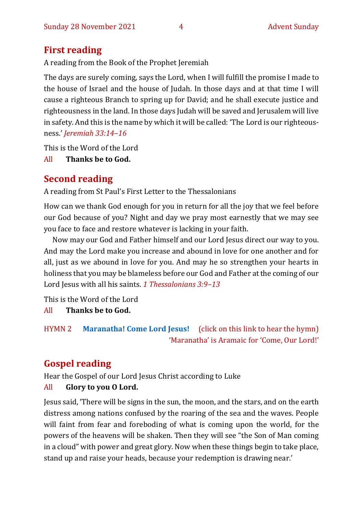#### **First reading**

A reading from the Book of the Prophet Jeremiah

The days are surely coming, says the Lord, when I will fulfill the promise I made to the house of Israel and the house of Judah. In those days and at that time I will cause a righteous Branch to spring up for David; and he shall execute justice and righteousness in the land. In those days Judah will be saved and Jerusalem will live in safety. And this is the name by which it will be called: 'The Lord is our righteousness.' *Jeremiah 33:14–16*

This is the Word of the Lord

All **Thanks be to God.**

### **Second reading**

A reading from St Paul's First Letter to the Thessalonians

How can we thank God enough for you in return for all the joy that we feel before our God because of you? Night and day we pray most earnestly that we may see you face to face and restore whatever is lacking in your faith.

Now may our God and Father himself and our Lord Jesus direct our way to you. And may the Lord make you increase and abound in love for one another and for all, just as we abound in love for you. And may he so strengthen your hearts in holiness that you may be blameless before our God and Father at the coming of our Lord Jesus with all his saints. *1 Thessalonians 3:9–13*

This is the Word of the Lord

All **Thanks be to God.**

```
HYMN 2 Maranatha! Come Lord Jesus! (click on this link to hear the hymn)
                      'Maranatha' is Aramaic for 'Come, Our Lord!'
```
## **Gospel reading**

Hear the Gospel of our Lord Jesus Christ according to Luke

#### All **Glory to you O Lord.**

Jesus said, 'There will be signs in the sun, the moon, and the stars, and on the earth distress among nations confused by the roaring of the sea and the waves. People will faint from fear and foreboding of what is coming upon the world, for the powers of the heavens will be shaken. Then they will see "the Son of Man coming in a cloud" with power and great glory. Now when these things begin to take place, stand up and raise your heads, because your redemption is drawing near.'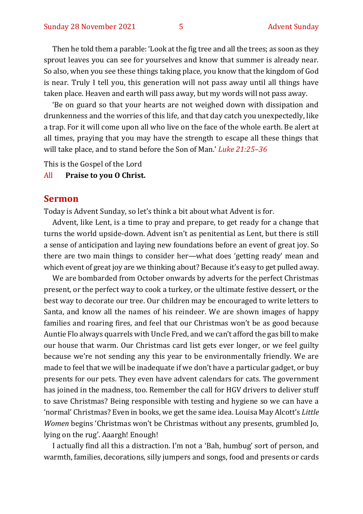Then he told them a parable: 'Look at the fig tree and all the trees; as soon as they sprout leaves you can see for yourselves and know that summer is already near. So also, when you see these things taking place, you know that the kingdom of God is near. Truly I tell you, this generation will not pass away until all things have taken place. Heaven and earth will pass away, but my words will not pass away.

'Be on guard so that your hearts are not weighed down with dissipation and drunkenness and the worries of this life, and that day catch you unexpectedly, like a trap. For it will come upon all who live on the face of the whole earth. Be alert at all times, praying that you may have the strength to escape all these things that will take place, and to stand before the Son of Man.' *Luke 21:25–36*

This is the Gospel of the Lord

#### All **Praise to you O Christ.**

#### **Sermon**

Today is Advent Sunday, so let's think a bit about what Advent is for.

Advent, like Lent, is a time to pray and prepare, to get ready for a change that turns the world upside-down. Advent isn't as penitential as Lent, but there is still a sense of anticipation and laying new foundations before an event of great joy. So there are two main things to consider her—what does 'getting ready' mean and which event of great joy are we thinking about? Because it's easy to get pulled away.

We are bombarded from October onwards by adverts for the perfect Christmas present, or the perfect way to cook a turkey, or the ultimate festive dessert, or the best way to decorate our tree. Our children may be encouraged to write letters to Santa, and know all the names of his reindeer. We are shown images of happy families and roaring fires, and feel that our Christmas won't be as good because Auntie Flo always quarrels with Uncle Fred, and we can't afford the gas bill to make our house that warm. Our Christmas card list gets ever longer, or we feel guilty because we're not sending any this year to be environmentally friendly. We are made to feel that we will be inadequate if we don't have a particular gadget, or buy presents for our pets. They even have advent calendars for cats. The government has joined in the madness, too. Remember the call for HGV drivers to deliver stuff to save Christmas? Being responsible with testing and hygiene so we can have a 'normal' Christmas? Even in books, we get the same idea. Louisa May Alcott's *Little Women* begins 'Christmas won't be Christmas without any presents, grumbled Jo, lying on the rug'. Aaargh! Enough!

I actually find all this a distraction. I'm not a 'Bah, humbug' sort of person, and warmth, families, decorations, silly jumpers and songs, food and presents or cards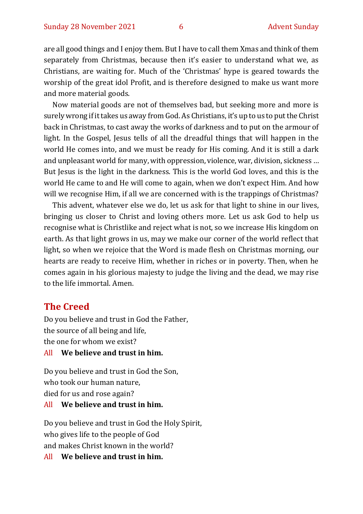are all good things and I enjoy them. But I have to call them Xmas and think of them separately from Christmas, because then it's easier to understand what we, as Christians, are waiting for. Much of the 'Christmas' hype is geared towards the worship of the great idol Profit, and is therefore designed to make us want more and more material goods.

Now material goods are not of themselves bad, but seeking more and more is surely wrong if it takes us away from God. As Christians, it's up to us to put the Christ back in Christmas, to cast away the works of darkness and to put on the armour of light. In the Gospel, Jesus tells of all the dreadful things that will happen in the world He comes into, and we must be ready for His coming. And it is still a dark and unpleasant world for many, with oppression, violence, war, division, sickness … But Jesus is the light in the darkness. This is the world God loves, and this is the world He came to and He will come to again, when we don't expect Him. And how will we recognise Him, if all we are concerned with is the trappings of Christmas?

This advent, whatever else we do, let us ask for that light to shine in our lives, bringing us closer to Christ and loving others more. Let us ask God to help us recognise what is Christlike and reject what is not, so we increase His kingdom on earth. As that light grows in us, may we make our corner of the world reflect that light, so when we rejoice that the Word is made flesh on Christmas morning, our hearts are ready to receive Him, whether in riches or in poverty. Then, when he comes again in his glorious majesty to judge the living and the dead, we may rise to the life immortal. Amen.

#### **The Creed**

Do you believe and trust in God the Father, the source of all being and life, the one for whom we exist?

#### All **We believe and trust in him.**

Do you believe and trust in God the Son, who took our human nature, died for us and rose again?

#### All **We believe and trust in him.**

Do you believe and trust in God the Holy Spirit, who gives life to the people of God and makes Christ known in the world?

All **We believe and trust in him.**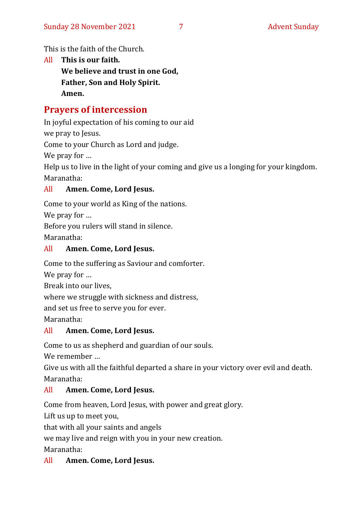This is the faith of the Church.

All **This is our faith. We believe and trust in one God, Father, Son and Holy Spirit. Amen.**

#### **Prayers of intercession**

In joyful expectation of his coming to our aid

we pray to Jesus.

Come to your Church as Lord and judge.

We pray for …

Help us to live in the light of your coming and give us a longing for your kingdom. Maranatha:

#### All **Amen. Come, Lord Jesus.**

Come to your world as King of the nations.

We pray for …

Before you rulers will stand in silence.

Maranatha:

#### All **Amen. Come, Lord Jesus.**

Come to the suffering as Saviour and comforter.

We pray for …

Break into our lives,

where we struggle with sickness and distress,

and set us free to serve you for ever.

Maranatha:

#### All **Amen. Come, Lord Jesus.**

Come to us as shepherd and guardian of our souls.

We remember …

Give us with all the faithful departed a share in your victory over evil and death. Maranatha:

#### All **Amen. Come, Lord Jesus.**

Come from heaven, Lord Jesus, with power and great glory.

Lift us up to meet you,

that with all your saints and angels

we may live and reign with you in your new creation.

Maranatha:

#### All **Amen. Come, Lord Jesus.**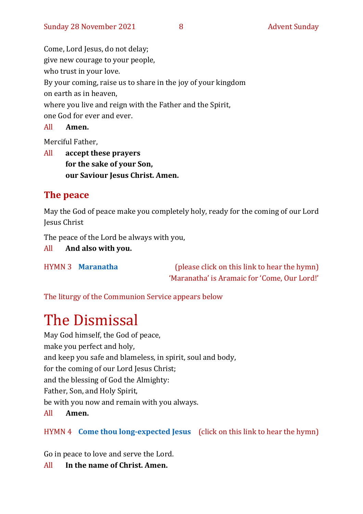Come, Lord Jesus, do not delay; give new courage to your people, who trust in your love. By your coming, raise us to share in the joy of your kingdom on earth as in heaven, where you live and reign with the Father and the Spirit, one God for ever and ever.

All **Amen.**

Merciful Father,

All **accept these prayers for the sake of your Son, our Saviour Jesus Christ. Amen.**

#### **The peace**

May the God of peace make you completely holy, ready for the coming of our Lord Jesus Christ

The peace of the Lord be always with you,

All **And also with you.**

HYMN 3 **[Maranatha](https://www.youtube.com/watch?v=6x_fU3LxPsk)** (please click on this link to hear the hymn) 'Maranatha' is Aramaic for 'Come, Our Lord!'

The liturgy of the Communion Service appears below

# The Dismissal

May God himself, the God of peace, make you perfect and holy, and keep you safe and blameless, in spirit, soul and body, for the coming of our Lord Jesus Christ; and the blessing of God the Almighty: Father, Son, and Holy Spirit, be with you now and remain with you always. All **Amen.**

#### HYMN 4 **[Come thou long-expected Jesus](https://www.youtube.com/watch?v=GspGM7Pfizo)** (click on this link to hear the hymn)

Go in peace to love and serve the Lord.

All **In the name of Christ. Amen.**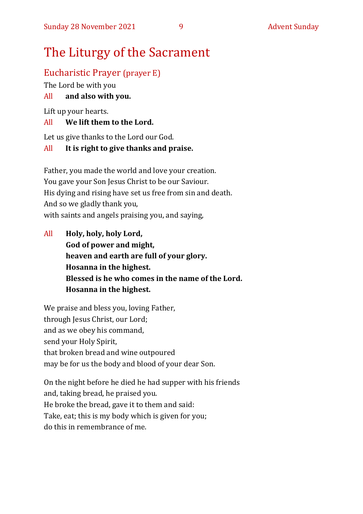# The Liturgy of the Sacrament

#### Eucharistic Prayer (prayer E)

The Lord be with you

#### All **and also with you.**

Lift up your hearts.

#### All **We lift them to the Lord.**

Let us give thanks to the Lord our God.

#### All **It is right to give thanks and praise.**

Father, you made the world and love your creation. You gave your Son Jesus Christ to be our Saviour. His dying and rising have set us free from sin and death. And so we gladly thank you, with saints and angels praising you, and saying,

All **Holy, holy, holy Lord, God of power and might, heaven and earth are full of your glory. Hosanna in the highest. Blessed is he who comes in the name of the Lord. Hosanna in the highest.**

We praise and bless you, loving Father, through Jesus Christ, our Lord; and as we obey his command, send your Holy Spirit, that broken bread and wine outpoured may be for us the body and blood of your dear Son.

On the night before he died he had supper with his friends and, taking bread, he praised you. He broke the bread, gave it to them and said: Take, eat; this is my body which is given for you; do this in remembrance of me.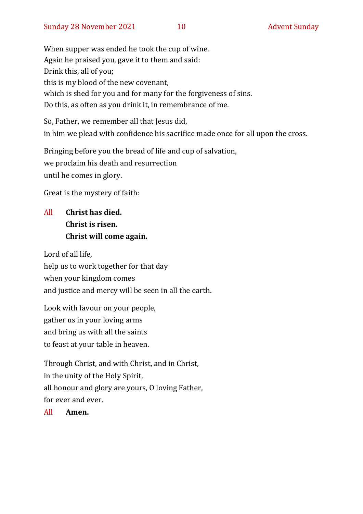When supper was ended he took the cup of wine. Again he praised you, gave it to them and said: Drink this, all of you; this is my blood of the new covenant, which is shed for you and for many for the forgiveness of sins. Do this, as often as you drink it, in remembrance of me.

So, Father, we remember all that Jesus did, in him we plead with confidence his sacrifice made once for all upon the cross.

Bringing before you the bread of life and cup of salvation, we proclaim his death and resurrection until he comes in glory.

Great is the mystery of faith:

#### All **Christ has died. Christ is risen. Christ will come again.**

Lord of all life, help us to work together for that day when your kingdom comes and justice and mercy will be seen in all the earth.

Look with favour on your people, gather us in your loving arms and bring us with all the saints to feast at your table in heaven.

Through Christ, and with Christ, and in Christ, in the unity of the Holy Spirit, all honour and glory are yours, O loving Father, for ever and ever.

All **Amen.**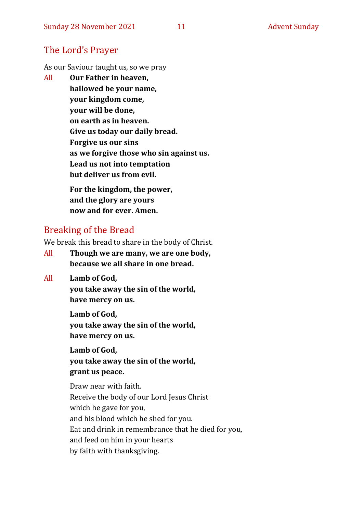#### The Lord's Prayer

As our Saviour taught us, so we pray

All **Our Father in heaven, hallowed be your name, your kingdom come, your will be done, on earth as in heaven. Give us today our daily bread. Forgive us our sins as we forgive those who sin against us. Lead us not into temptation but deliver us from evil. For the kingdom, the power,** 

**and the glory are yours now and for ever. Amen.**

#### Breaking of the Bread

We break this bread to share in the body of Christ.

- All **Though we are many, we are one body, because we all share in one bread.**
- All **Lamb of God,**

**you take away the sin of the world, have mercy on us.**

**Lamb of God, you take away the sin of the world, have mercy on us.**

**Lamb of God, you take away the sin of the world, grant us peace.**

Draw near with faith. Receive the body of our Lord Jesus Christ which he gave for you, and his blood which he shed for you. Eat and drink in remembrance that he died for you, and feed on him in your hearts by faith with thanksgiving.